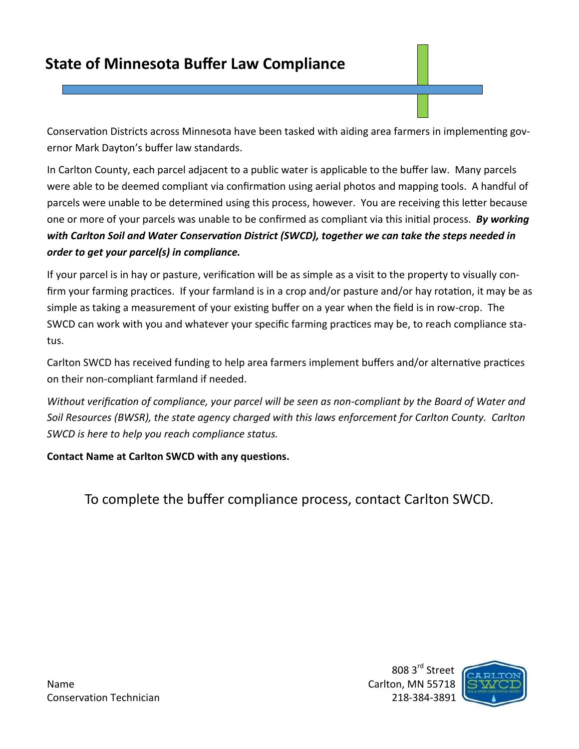Conservation Districts across Minnesota have been tasked with aiding area farmers in implementing governor Mark Dayton's buffer law standards.

In Carlton County, each parcel adjacent to a public water is applicable to the buffer law. Many parcels were able to be deemed compliant via confirmation using aerial photos and mapping tools. A handful of parcels were unable to be determined using this process, however. You are receiving this letter because one or more of your parcels was unable to be confirmed as compliant via this initial process. *By working with Carlton Soil and Water Conservation District (SWCD), together we can take the steps needed in order to get your parcel(s) in compliance.* 

If your parcel is in hay or pasture, verification will be as simple as a visit to the property to visually confirm your farming practices. If your farmland is in a crop and/or pasture and/or hay rotation, it may be as simple as taking a measurement of your existing buffer on a year when the field is in row-crop. The SWCD can work with you and whatever your specific farming practices may be, to reach compliance status.

Carlton SWCD has received funding to help area farmers implement buffers and/or alternative practices on their non-compliant farmland if needed.

*Without verification of compliance, your parcel will be seen as non-compliant by the Board of Water and Soil Resources (BWSR), the state agency charged with this laws enforcement for Carlton County. Carlton SWCD is here to help you reach compliance status.*

## **Contact Name at Carlton SWCD with any questions.**

To complete the buffer compliance process, contact Carlton SWCD.